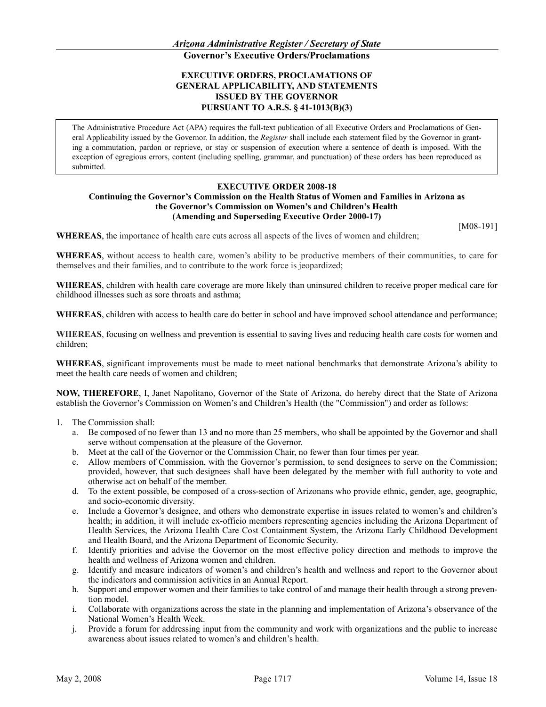# **EXECUTIVE ORDERS, PROCLAMATIONS OF GENERAL APPLICABILITY, AND STATEMENTS ISSUED BY THE GOVERNOR PURSUANT TO A.R.S. § 41-1013(B)(3)**

The Administrative Procedure Act (APA) requires the full-text publication of all Executive Orders and Proclamations of General Applicability issued by the Governor. In addition, the *Register* shall include each statement filed by the Governor in granting a commutation, pardon or reprieve, or stay or suspension of execution where a sentence of death is imposed. With the exception of egregious errors, content (including spelling, grammar, and punctuation) of these orders has been reproduced as submitted.

## **EXECUTIVE ORDER 2008-18**

### **Continuing the Governor's Commission on the Health Status of Women and Families in Arizona as the Governor's Commission on Women's and Children's Health (Amending and Superseding Executive Order 2000-17)**

[M08-191]

**WHEREAS**, the importance of health care cuts across all aspects of the lives of women and children;

**WHEREAS**, without access to health care, women's ability to be productive members of their communities, to care for themselves and their families, and to contribute to the work force is jeopardized;

**WHEREAS**, children with health care coverage are more likely than uninsured children to receive proper medical care for childhood illnesses such as sore throats and asthma;

**WHEREAS**, children with access to health care do better in school and have improved school attendance and performance;

**WHEREAS**, focusing on wellness and prevention is essential to saving lives and reducing health care costs for women and children;

**WHEREAS**, significant improvements must be made to meet national benchmarks that demonstrate Arizona's ability to meet the health care needs of women and children;

**NOW, THEREFORE**, I, Janet Napolitano, Governor of the State of Arizona, do hereby direct that the State of Arizona establish the Governor's Commission on Women's and Children's Health (the "Commission") and order as follows:

- 1. The Commission shall:
	- a. Be composed of no fewer than 13 and no more than 25 members, who shall be appointed by the Governor and shall serve without compensation at the pleasure of the Governor.
	- b. Meet at the call of the Governor or the Commission Chair, no fewer than four times per year.
	- c. Allow members of Commission, with the Governor's permission, to send designees to serve on the Commission; provided, however, that such designees shall have been delegated by the member with full authority to vote and otherwise act on behalf of the member.
	- d. To the extent possible, be composed of a cross-section of Arizonans who provide ethnic, gender, age, geographic, and socio-economic diversity.
	- e. Include a Governor's designee, and others who demonstrate expertise in issues related to women's and children's health; in addition, it will include ex-officio members representing agencies including the Arizona Department of Health Services, the Arizona Health Care Cost Containment System, the Arizona Early Childhood Development and Health Board, and the Arizona Department of Economic Security.
	- f. Identify priorities and advise the Governor on the most effective policy direction and methods to improve the health and wellness of Arizona women and children.
	- g. Identify and measure indicators of women's and children's health and wellness and report to the Governor about the indicators and commission activities in an Annual Report.
	- h. Support and empower women and their families to take control of and manage their health through a strong prevention model.
	- i. Collaborate with organizations across the state in the planning and implementation of Arizona's observance of the National Women's Health Week.
	- j. Provide a forum for addressing input from the community and work with organizations and the public to increase awareness about issues related to women's and children's health.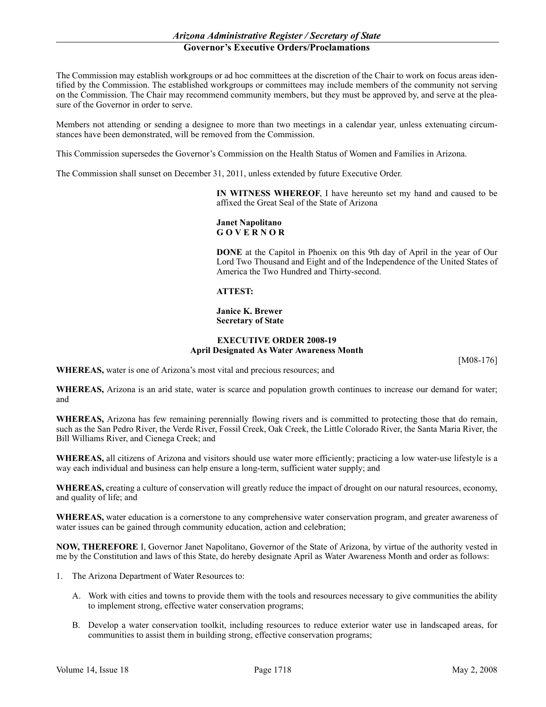# *Arizona Administrative Register / Secretary of State* **Governor's Executive Orders/Proclamations**

The Commission may establish workgroups or ad hoc committees at the discretion of the Chair to work on focus areas identified by the Commission. The established workgroups or committees may include members of the community not serving on the Commission. The Chair may recommend community members, but they must be approved by, and serve at the pleasure of the Governor in order to serve.

Members not attending or sending a designee to more than two meetings in a calendar year, unless extenuating circumstances have been demonstrated, will be removed from the Commission.

This Commission supersedes the Governor's Commission on the Health Status of Women and Families in Arizona.

The Commission shall sunset on December 31, 2011, unless extended by future Executive Order.

**IN WITNESS WHEREOF**, I have hereunto set my hand and caused to be affixed the Great Seal of the State of Arizona

# **Janet Napolitano G O V E R N O R**

**DONE** at the Capitol in Phoenix on this 9th day of April in the year of Our Lord Two Thousand and Eight and of the Independence of the United States of America the Two Hundred and Thirty-second.

#### **ATTEST:**

#### **Janice K. Brewer Secretary of State**

## **EXECUTIVE ORDER 2008-19 April Designated As Water Awareness Month**

[M08-176]

**WHEREAS,** water is one of Arizona's most vital and precious resources; and

**WHEREAS,** Arizona is an arid state, water is scarce and population growth continues to increase our demand for water; and

**WHEREAS,** Arizona has few remaining perennially flowing rivers and is committed to protecting those that do remain, such as the San Pedro River, the Verde River, Fossil Creek, Oak Creek, the Little Colorado River, the Santa Maria River, the Bill Williams River, and Cienega Creek; and

**WHEREAS,** all citizens of Arizona and visitors should use water more efficiently; practicing a low water-use lifestyle is a way each individual and business can help ensure a long-term, sufficient water supply; and

**WHEREAS,** creating a culture of conservation will greatly reduce the impact of drought on our natural resources, economy, and quality of life; and

**WHEREAS,** water education is a cornerstone to any comprehensive water conservation program, and greater awareness of water issues can be gained through community education, action and celebration;

**NOW, THEREFORE** I, Governor Janet Napolitano, Governor of the State of Arizona, by virtue of the authority vested in me by the Constitution and laws of this State, do hereby designate April as Water Awareness Month and order as follows:

- 1. The Arizona Department of Water Resources to:
	- A. Work with cities and towns to provide them with the tools and resources necessary to give communities the ability to implement strong, effective water conservation programs;
	- B. Develop a water conservation toolkit, including resources to reduce exterior water use in landscaped areas, for communities to assist them in building strong, effective conservation programs;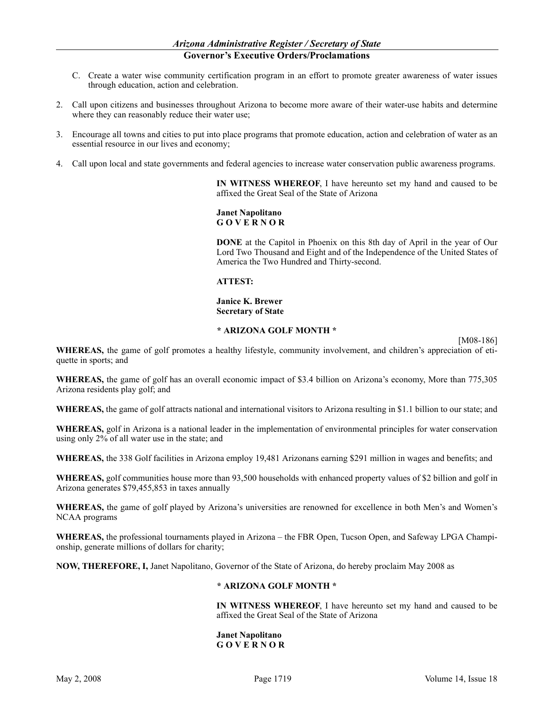- C. Create a water wise community certification program in an effort to promote greater awareness of water issues through education, action and celebration.
- 2. Call upon citizens and businesses throughout Arizona to become more aware of their water-use habits and determine where they can reasonably reduce their water use;
- 3. Encourage all towns and cities to put into place programs that promote education, action and celebration of water as an essential resource in our lives and economy;
- 4. Call upon local and state governments and federal agencies to increase water conservation public awareness programs.

**IN WITNESS WHEREOF**, I have hereunto set my hand and caused to be affixed the Great Seal of the State of Arizona

## **Janet Napolitano G O V E R N O R**

**DONE** at the Capitol in Phoenix on this 8th day of April in the year of Our Lord Two Thousand and Eight and of the Independence of the United States of America the Two Hundred and Thirty-second.

## **ATTEST:**

### **Janice K. Brewer Secretary of State**

## **\* ARIZONA GOLF MONTH \***

[M08-186]

**WHEREAS,** the game of golf promotes a healthy lifestyle, community involvement, and children's appreciation of etiquette in sports; and

**WHEREAS,** the game of golf has an overall economic impact of \$3.4 billion on Arizona's economy, More than 775,305 Arizona residents play golf; and

**WHEREAS,** the game of golf attracts national and international visitors to Arizona resulting in \$1.1 billion to our state; and

**WHEREAS,** golf in Arizona is a national leader in the implementation of environmental principles for water conservation using only 2% of all water use in the state; and

**WHEREAS,** the 338 Golf facilities in Arizona employ 19,481 Arizonans earning \$291 million in wages and benefits; and

**WHEREAS,** golf communities house more than 93,500 households with enhanced property values of \$2 billion and golf in Arizona generates \$79,455,853 in taxes annually

**WHEREAS,** the game of golf played by Arizona's universities are renowned for excellence in both Men's and Women's NCAA programs

**WHEREAS,** the professional tournaments played in Arizona – the FBR Open, Tucson Open, and Safeway LPGA Championship, generate millions of dollars for charity;

**NOW, THEREFORE, I,** Janet Napolitano, Governor of the State of Arizona, do hereby proclaim May 2008 as

## **\* ARIZONA GOLF MONTH \***

**IN WITNESS WHEREOF**, I have hereunto set my hand and caused to be affixed the Great Seal of the State of Arizona

#### **Janet Napolitano G O V E R N O R**